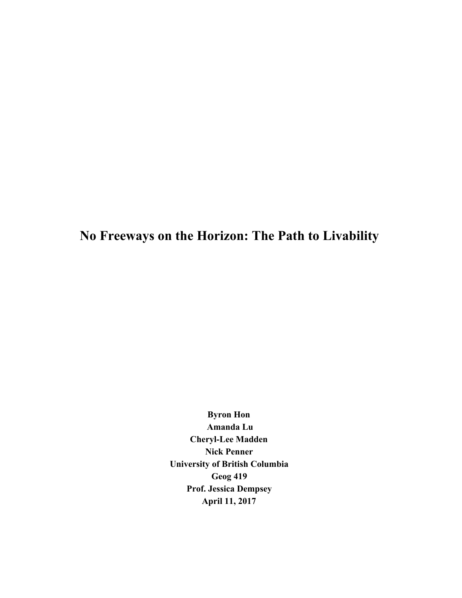# **No Freeways on the Horizon: The Path to Livability**

**Byron Hon Amanda Lu Cheryl-Lee Madden Nick Penner University of British Columbia Geog 419 Prof. Jessica Dempsey April 11, 2017**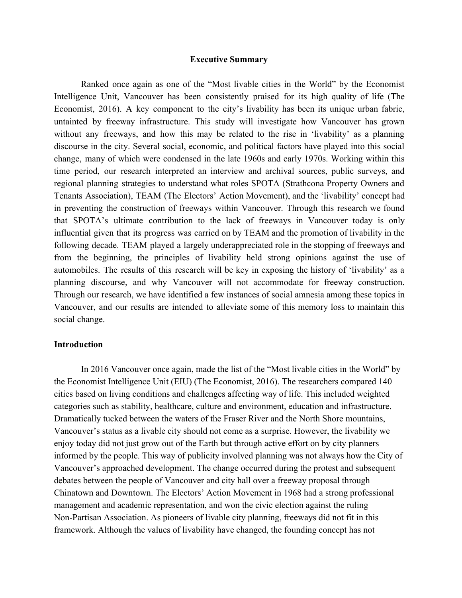## **Executive Summary**

Ranked once again as one of the "Most livable cities in the World" by the Economist Intelligence Unit, Vancouver has been consistently praised for its high quality of life (The Economist, 2016). A key component to the city's livability has been its unique urban fabric, untainted by freeway infrastructure. This study will investigate how Vancouver has grown without any freeways, and how this may be related to the rise in 'livability' as a planning discourse in the city. Several social, economic, and political factors have played into this social change, many of which were condensed in the late 1960s and early 1970s. Working within this time period, our research interpreted an interview and archival sources, public surveys, and regional planning strategies to understand what roles SPOTA (Strathcona Property Owners and Tenants Association), TEAM (The Electors' Action Movement), and the 'livability' concept had in preventing the construction of freeways within Vancouver. Through this research we found that SPOTA's ultimate contribution to the lack of freeways in Vancouver today is only influential given that its progress was carried on by TEAM and the promotion of livability in the following decade. TEAM played a largely underappreciated role in the stopping of freeways and from the beginning, the principles of livability held strong opinions against the use of automobiles. The results of this research will be key in exposing the history of 'livability' as a planning discourse, and why Vancouver will not accommodate for freeway construction. Through our research, we have identified a few instances of social amnesia among these topics in Vancouver, and our results are intended to alleviate some of this memory loss to maintain this social change.

## **Introduction**

In 2016 Vancouver once again, made the list of the "Most livable cities in the World" by the Economist Intelligence Unit (EIU) (The Economist, 2016). The researchers compared 140 cities based on living conditions and challenges affecting way of life. This included weighted categories such as stability, healthcare, culture and environment, education and infrastructure. Dramatically tucked between the waters of the Fraser River and the North Shore mountains, Vancouver's status as a livable city should not come as a surprise. However, the livability we enjoy today did not just grow out of the Earth but through active effort on by city planners informed by the people. This way of publicity involved planning was not always how the City of Vancouver's approached development. The change occurred during the protest and subsequent debates between the people of Vancouver and city hall over a freeway proposal through Chinatown and Downtown. The Electors' Action Movement in 1968 had a strong professional management and academic representation, and won the civic election against the ruling Non-Partisan Association. As pioneers of livable city planning, freeways did not fit in this framework. Although the values of livability have changed, the founding concept has not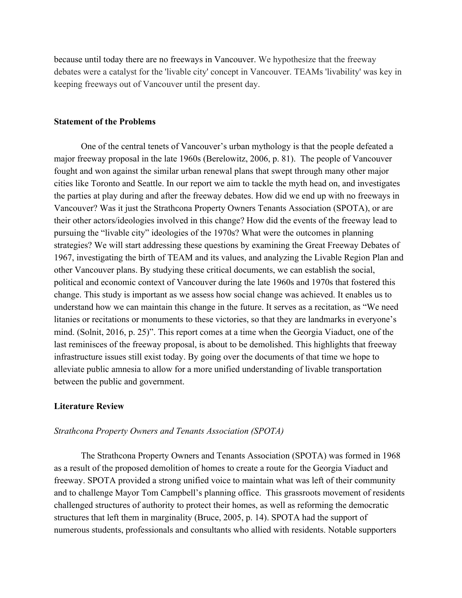because until today there are no freeways in Vancouver. We hypothesize that the freeway debates were a catalyst for the 'livable city' concept in Vancouver. TEAMs 'livability' was key in keeping freeways out of Vancouver until the present day.

## **Statement of the Problems**

One of the central tenets of Vancouver's urban mythology is that the people defeated a major freeway proposal in the late 1960s (Berelowitz, 2006, p. 81). The people of Vancouver fought and won against the similar urban renewal plans that swept through many other major cities like Toronto and Seattle. In our report we aim to tackle the myth head on, and investigates the parties at play during and after the freeway debates. How did we end up with no freeways in Vancouver? Was it just the Strathcona Property Owners Tenants Association (SPOTA), or are their other actors/ideologies involved in this change? How did the events of the freeway lead to pursuing the "livable city" ideologies of the 1970s? What were the outcomes in planning strategies? We will start addressing these questions by examining the Great Freeway Debates of 1967, investigating the birth of TEAM and its values, and analyzing the Livable Region Plan and other Vancouver plans. By studying these critical documents, we can establish the social, political and economic context of Vancouver during the late 1960s and 1970s that fostered this change. This study is important as we assess how social change was achieved. It enables us to understand how we can maintain this change in the future. It serves as a recitation, as "We need litanies or recitations or monuments to these victories, so that they are landmarks in everyone's mind. (Solnit, 2016, p. 25)". This report comes at a time when the Georgia Viaduct, one of the last reminisces of the freeway proposal, is about to be demolished. This highlights that freeway infrastructure issues still exist today. By going over the documents of that time we hope to alleviate public amnesia to allow for a more unified understanding of livable transportation between the public and government.

# **Literature Review**

#### *Strathcona Property Owners and Tenants Association (SPOTA)*

The Strathcona Property Owners and Tenants Association (SPOTA) was formed in 1968 as a result of the proposed demolition of homes to create a route for the Georgia Viaduct and freeway. SPOTA provided a strong unified voice to maintain what was left of their community and to challenge Mayor Tom Campbell's planning office. This grassroots movement of residents challenged structures of authority to protect their homes, as well as reforming the democratic structures that left them in marginality (Bruce, 2005, p. 14). SPOTA had the support of numerous students, professionals and consultants who allied with residents. Notable supporters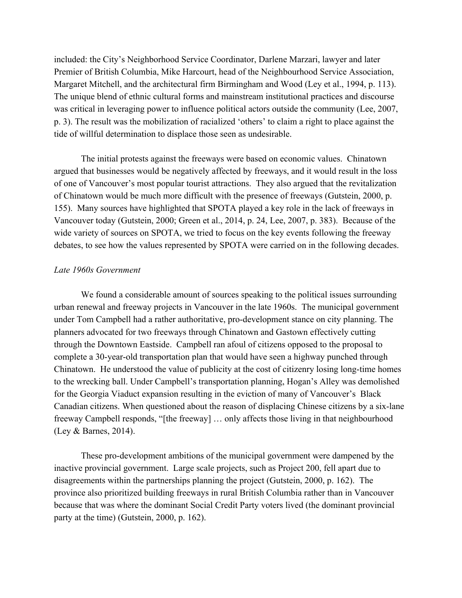included: the City's Neighborhood Service Coordinator, Darlene Marzari, lawyer and later Premier of British Columbia, Mike Harcourt, head of the Neighbourhood Service Association, Margaret Mitchell, and the architectural firm Birmingham and Wood (Ley et al., 1994, p. 113). The unique blend of ethnic cultural forms and mainstream institutional practices and discourse was critical in leveraging power to influence political actors outside the community (Lee, 2007, p. 3). The result was the mobilization of racialized 'others' to claim a right to place against the tide of willful determination to displace those seen as undesirable.

The initial protests against the freeways were based on economic values. Chinatown argued that businesses would be negatively affected by freeways, and it would result in the loss of one of Vancouver's most popular tourist attractions. They also argued that the revitalization of Chinatown would be much more difficult with the presence of freeways (Gutstein, 2000, p. 155). Many sources have highlighted that SPOTA played a key role in the lack of freeways in Vancouver today (Gutstein, 2000; Green et al., 2014, p. 24, Lee, 2007, p. 383). Because of the wide variety of sources on SPOTA, we tried to focus on the key events following the freeway debates, to see how the values represented by SPOTA were carried on in the following decades.

# *Late 1960s Government*

We found a considerable amount of sources speaking to the political issues surrounding urban renewal and freeway projects in Vancouver in the late 1960s. The municipal government under Tom Campbell had a rather authoritative, pro-development stance on city planning. The planners advocated for two freeways through Chinatown and Gastown effectively cutting through the Downtown Eastside. Campbell ran afoul of citizens opposed to the proposal to complete a 30-year-old transportation plan that would have seen a highway punched through Chinatown. He understood the value of publicity at the cost of citizenry losing long-time homes to the wrecking ball. Under Campbell's transportation planning, Hogan's Alley was demolished for the Georgia Viaduct expansion resulting in the eviction of many of Vancouver's Black Canadian citizens. When questioned about the reason of displacing Chinese citizens by a six-lane freeway Campbell responds, "[the freeway] … only affects those living in that neighbourhood (Ley & Barnes, 2014).

These pro-development ambitions of the municipal government were dampened by the inactive provincial government. Large scale projects, such as Project 200, fell apart due to disagreements within the partnerships planning the project (Gutstein, 2000, p. 162). The province also prioritized building freeways in rural British Columbia rather than in Vancouver because that was where the dominant Social Credit Party voters lived (the dominant provincial party at the time) (Gutstein, 2000, p. 162).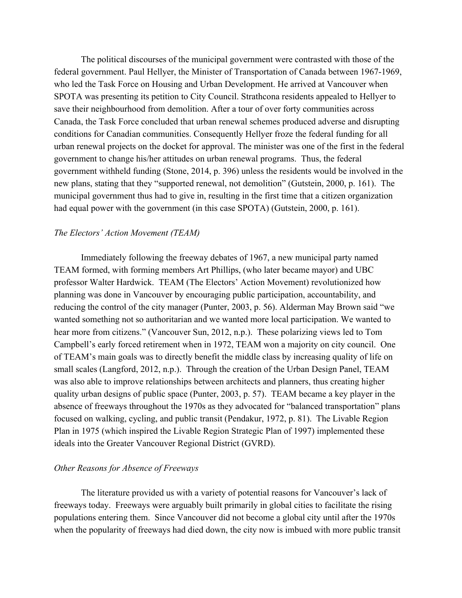The political discourses of the municipal government were contrasted with those of the federal government. Paul Hellyer, the Minister of Transportation of Canada between 1967-1969, who led the Task Force on Housing and Urban Development. He arrived at Vancouver when SPOTA was presenting its petition to City Council. Strathcona residents appealed to Hellyer to save their neighbourhood from demolition. After a tour of over forty communities across Canada, the Task Force concluded that urban renewal schemes produced adverse and disrupting conditions for Canadian communities. Consequently Hellyer froze the federal funding for all urban renewal projects on the docket for approval. The minister was one of the first in the federal government to change his/her attitudes on urban renewal programs. Thus, the federal government withheld funding (Stone, 2014, p. 396) unless the residents would be involved in the new plans, stating that they "supported renewal, not demolition" (Gutstein, 2000, p. 161). The municipal government thus had to give in, resulting in the first time that a citizen organization had equal power with the government (in this case SPOTA) (Gutstein, 2000, p. 161).

# *The Electors' Action Movement (TEAM)*

Immediately following the freeway debates of 1967, a new municipal party named TEAM formed, with forming members Art Phillips, (who later became mayor) and UBC professor Walter Hardwick. TEAM (The Electors' Action Movement) revolutionized how planning was done in Vancouver by encouraging public participation, accountability, and reducing the control of the city manager (Punter, 2003, p. 56). Alderman May Brown said "we wanted something not so authoritarian and we wanted more local participation. We wanted to hear more from citizens." (Vancouver Sun, 2012, n.p.). These polarizing views led to Tom Campbell's early forced retirement when in 1972, TEAM won a majority on city council. One of TEAM's main goals was to directly benefit the middle class by increasing quality of life on small scales (Langford, 2012, n.p.). Through the creation of the Urban Design Panel, TEAM was also able to improve relationships between architects and planners, thus creating higher quality urban designs of public space (Punter, 2003, p. 57). TEAM became a key player in the absence of freeways throughout the 1970s as they advocated for "balanced transportation" plans focused on walking, cycling, and public transit (Pendakur, 1972, p. 81). The Livable Region Plan in 1975 (which inspired the Livable Region Strategic Plan of 1997) implemented these ideals into the Greater Vancouver Regional District (GVRD).

#### *Other Reasons for Absence of Freeways*

The literature provided us with a variety of potential reasons for Vancouver's lack of freeways today. Freeways were arguably built primarily in global cities to facilitate the rising populations entering them. Since Vancouver did not become a global city until after the 1970s when the popularity of freeways had died down, the city now is imbued with more public transit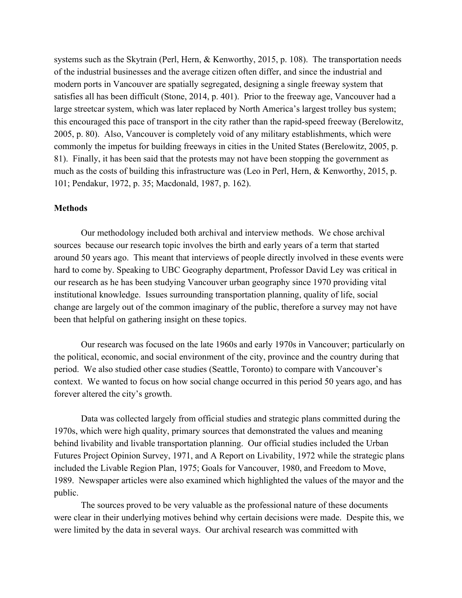systems such as the Skytrain (Perl, Hern, & Kenworthy, 2015, p. 108). The transportation needs of the industrial businesses and the average citizen often differ, and since the industrial and modern ports in Vancouver are spatially segregated, designing a single freeway system that satisfies all has been difficult (Stone, 2014, p. 401). Prior to the freeway age, Vancouver had a large streetcar system, which was later replaced by North America's largest trolley bus system; this encouraged this pace of transport in the city rather than the rapid-speed freeway (Berelowitz, 2005, p. 80). Also, Vancouver is completely void of any military establishments, which were commonly the impetus for building freeways in cities in the United States (Berelowitz, 2005, p. 81). Finally, it has been said that the protests may not have been stopping the government as much as the costs of building this infrastructure was (Leo in Perl, Hern, & Kenworthy, 2015, p. 101; Pendakur, 1972, p. 35; Macdonald, 1987, p. 162).

#### **Methods**

Our methodology included both archival and interview methods. We chose archival sources because our research topic involves the birth and early years of a term that started around 50 years ago. This meant that interviews of people directly involved in these events were hard to come by. Speaking to UBC Geography department, Professor David Ley was critical in our research as he has been studying Vancouver urban geography since 1970 providing vital institutional knowledge. Issues surrounding transportation planning, quality of life, social change are largely out of the common imaginary of the public, therefore a survey may not have been that helpful on gathering insight on these topics.

Our research was focused on the late 1960s and early 1970s in Vancouver; particularly on the political, economic, and social environment of the city, province and the country during that period. We also studied other case studies (Seattle, Toronto) to compare with Vancouver's context. We wanted to focus on how social change occurred in this period 50 years ago, and has forever altered the city's growth.

Data was collected largely from official studies and strategic plans committed during the 1970s, which were high quality, primary sources that demonstrated the values and meaning behind livability and livable transportation planning. Our official studies included the Urban Futures Project Opinion Survey, 1971, and A Report on Livability, 1972 while the strategic plans included the Livable Region Plan, 1975; Goals for Vancouver, 1980, and Freedom to Move, 1989. Newspaper articles were also examined which highlighted the values of the mayor and the public.

The sources proved to be very valuable as the professional nature of these documents were clear in their underlying motives behind why certain decisions were made. Despite this, we were limited by the data in several ways. Our archival research was committed with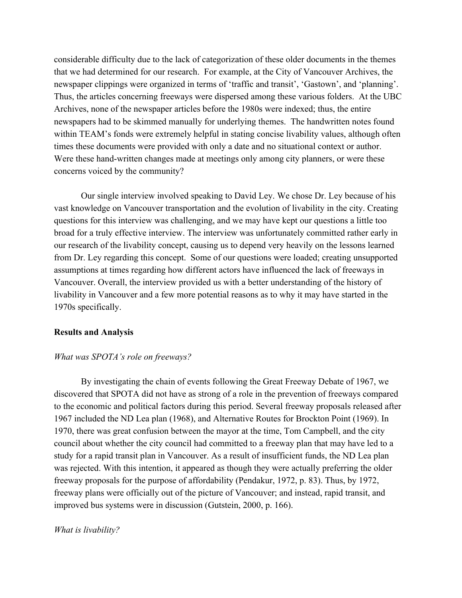considerable difficulty due to the lack of categorization of these older documents in the themes that we had determined for our research. For example, at the City of Vancouver Archives, the newspaper clippings were organized in terms of 'traffic and transit', 'Gastown', and 'planning'. Thus, the articles concerning freeways were dispersed among these various folders. At the UBC Archives, none of the newspaper articles before the 1980s were indexed; thus, the entire newspapers had to be skimmed manually for underlying themes. The handwritten notes found within TEAM's fonds were extremely helpful in stating concise livability values, although often times these documents were provided with only a date and no situational context or author. Were these hand-written changes made at meetings only among city planners, or were these concerns voiced by the community?

Our single interview involved speaking to David Ley. We chose Dr. Ley because of his vast knowledge on Vancouver transportation and the evolution of livability in the city. Creating questions for this interview was challenging, and we may have kept our questions a little too broad for a truly effective interview. The interview was unfortunately committed rather early in our research of the livability concept, causing us to depend very heavily on the lessons learned from Dr. Ley regarding this concept. Some of our questions were loaded; creating unsupported assumptions at times regarding how different actors have influenced the lack of freeways in Vancouver. Overall, the interview provided us with a better understanding of the history of livability in Vancouver and a few more potential reasons as to why it may have started in the 1970s specifically.

#### **Results and Analysis**

#### *What was SPOTA's role on freeways?*

By investigating the chain of events following the Great Freeway Debate of 1967, we discovered that SPOTA did not have as strong of a role in the prevention of freeways compared to the economic and political factors during this period. Several freeway proposals released after 1967 included the ND Lea plan (1968), and Alternative Routes for Brockton Point (1969). In 1970, there was great confusion between the mayor at the time, Tom Campbell, and the city council about whether the city council had committed to a freeway plan that may have led to a study for a rapid transit plan in Vancouver. As a result of insufficient funds, the ND Lea plan was rejected. With this intention, it appeared as though they were actually preferring the older freeway proposals for the purpose of affordability (Pendakur, 1972, p. 83). Thus, by 1972, freeway plans were officially out of the picture of Vancouver; and instead, rapid transit, and improved bus systems were in discussion (Gutstein, 2000, p. 166).

#### *What is livability?*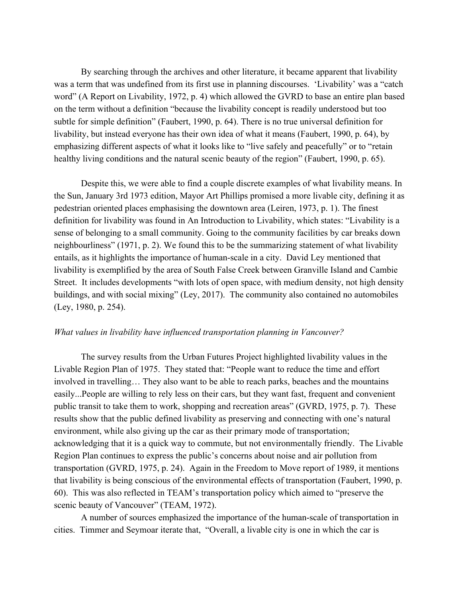By searching through the archives and other literature, it became apparent that livability was a term that was undefined from its first use in planning discourses. 'Livability' was a "catch word" (A Report on Livability, 1972, p. 4) which allowed the GVRD to base an entire plan based on the term without a definition "because the livability concept is readily understood but too subtle for simple definition" (Faubert, 1990, p. 64). There is no true universal definition for livability, but instead everyone has their own idea of what it means (Faubert, 1990, p. 64), by emphasizing different aspects of what it looks like to "live safely and peacefully" or to "retain healthy living conditions and the natural scenic beauty of the region" (Faubert, 1990, p. 65).

Despite this, we were able to find a couple discrete examples of what livability means. In the Sun, January 3rd 1973 edition, Mayor Art Phillips promised a more livable city, defining it as pedestrian oriented places emphasising the downtown area (Leiren, 1973, p. 1). The finest definition for livability was found in An Introduction to Livability, which states: "Livability is a sense of belonging to a small community. Going to the community facilities by car breaks down neighbourliness" (1971, p. 2). We found this to be the summarizing statement of what livability entails, as it highlights the importance of human-scale in a city. David Ley mentioned that livability is exemplified by the area of South False Creek between Granville Island and Cambie Street. It includes developments "with lots of open space, with medium density, not high density buildings, and with social mixing" (Ley, 2017). The community also contained no automobiles (Ley, 1980, p. 254).

# *What values in livability have influenced transportation planning in Vancouver?*

The survey results from the Urban Futures Project highlighted livability values in the Livable Region Plan of 1975. They stated that: "People want to reduce the time and effort involved in travelling… They also want to be able to reach parks, beaches and the mountains easily...People are willing to rely less on their cars, but they want fast, frequent and convenient public transit to take them to work, shopping and recreation areas" (GVRD, 1975, p. 7). These results show that the public defined livability as preserving and connecting with one's natural environment, while also giving up the car as their primary mode of transportation; acknowledging that it is a quick way to commute, but not environmentally friendly. The Livable Region Plan continues to express the public's concerns about noise and air pollution from transportation (GVRD, 1975, p. 24). Again in the Freedom to Move report of 1989, it mentions that livability is being conscious of the environmental effects of transportation (Faubert, 1990, p. 60). This was also reflected in TEAM's transportation policy which aimed to "preserve the scenic beauty of Vancouver" (TEAM, 1972).

A number of sources emphasized the importance of the human-scale of transportation in cities. Timmer and Seymoar iterate that, "Overall, a livable city is one in which the car is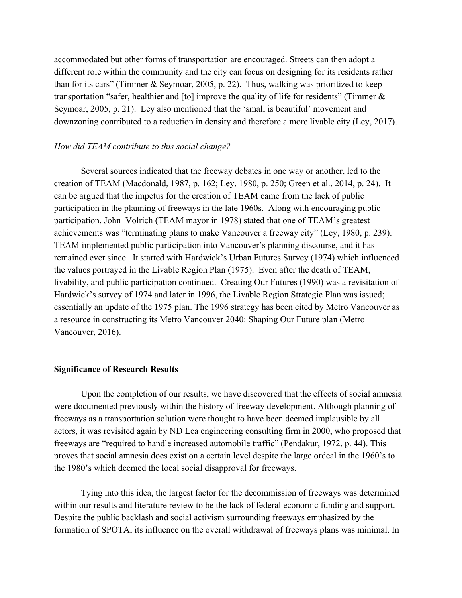accommodated but other forms of transportation are encouraged. Streets can then adopt a different role within the community and the city can focus on designing for its residents rather than for its cars" (Timmer  $&$  Seymoar, 2005, p. 22). Thus, walking was prioritized to keep transportation "safer, healthier and [to] improve the quality of life for residents" (Timmer & Seymoar, 2005, p. 21). Ley also mentioned that the 'small is beautiful' movement and downzoning contributed to a reduction in density and therefore a more livable city (Ley, 2017).

## *How did TEAM contribute to this social change?*

Several sources indicated that the freeway debates in one way or another, led to the creation of TEAM (Macdonald, 1987, p. 162; Ley, 1980, p. 250; Green et al., 2014, p. 24). It can be argued that the impetus for the creation of TEAM came from the lack of public participation in the planning of freeways in the late 1960s. Along with encouraging public participation, John Volrich (TEAM mayor in 1978) stated that one of TEAM's greatest achievements was "terminating plans to make Vancouver a freeway city" (Ley, 1980, p. 239). TEAM implemented public participation into Vancouver's planning discourse, and it has remained ever since. It started with Hardwick's Urban Futures Survey (1974) which influenced the values portrayed in the Livable Region Plan (1975). Even after the death of TEAM, livability, and public participation continued. Creating Our Futures (1990) was a revisitation of Hardwick's survey of 1974 and later in 1996, the Livable Region Strategic Plan was issued; essentially an update of the 1975 plan. The 1996 strategy has been cited by Metro Vancouver as a resource in constructing its Metro Vancouver 2040: Shaping Our Future plan (Metro Vancouver, 2016).

#### **Significance of Research Results**

Upon the completion of our results, we have discovered that the effects of social amnesia were documented previously within the history of freeway development. Although planning of freeways as a transportation solution were thought to have been deemed implausible by all actors, it was revisited again by ND Lea engineering consulting firm in 2000, who proposed that freeways are "required to handle increased automobile traffic" (Pendakur, 1972, p. 44). This proves that social amnesia does exist on a certain level despite the large ordeal in the 1960's to the 1980's which deemed the local social disapproval for freeways.

Tying into this idea, the largest factor for the decommission of freeways was determined within our results and literature review to be the lack of federal economic funding and support. Despite the public backlash and social activism surrounding freeways emphasized by the formation of SPOTA, its influence on the overall withdrawal of freeways plans was minimal. In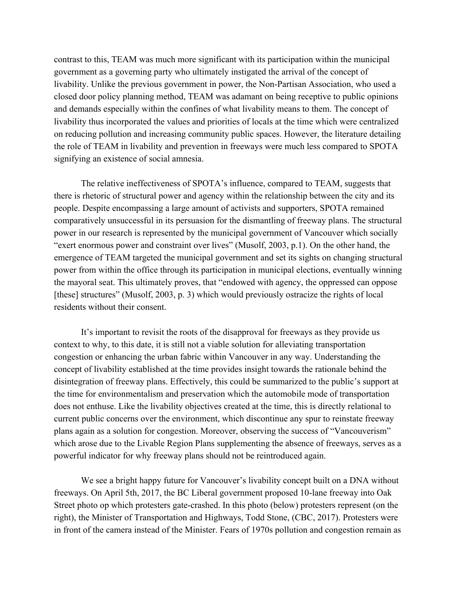contrast to this, TEAM was much more significant with its participation within the municipal government as a governing party who ultimately instigated the arrival of the concept of livability. Unlike the previous government in power, the Non-Partisan Association, who used a closed door policy planning method, TEAM was adamant on being receptive to public opinions and demands especially within the confines of what livability means to them. The concept of livability thus incorporated the values and priorities of locals at the time which were centralized on reducing pollution and increasing community public spaces. However, the literature detailing the role of TEAM in livability and prevention in freeways were much less compared to SPOTA signifying an existence of social amnesia.

The relative ineffectiveness of SPOTA's influence, compared to TEAM, suggests that there is rhetoric of structural power and agency within the relationship between the city and its people. Despite encompassing a large amount of activists and supporters, SPOTA remained comparatively unsuccessful in its persuasion for the dismantling of freeway plans. The structural power in our research is represented by the municipal government of Vancouver which socially "exert enormous power and constraint over lives" (Musolf, 2003, p.1). On the other hand, the emergence of TEAM targeted the municipal government and set its sights on changing structural power from within the office through its participation in municipal elections, eventually winning the mayoral seat. This ultimately proves, that "endowed with agency, the oppressed can oppose [these] structures" (Musolf, 2003, p. 3) which would previously ostracize the rights of local residents without their consent.

It's important to revisit the roots of the disapproval for freeways as they provide us context to why, to this date, it is still not a viable solution for alleviating transportation congestion or enhancing the urban fabric within Vancouver in any way. Understanding the concept of livability established at the time provides insight towards the rationale behind the disintegration of freeway plans. Effectively, this could be summarized to the public's support at the time for environmentalism and preservation which the automobile mode of transportation does not enthuse. Like the livability objectives created at the time, this is directly relational to current public concerns over the environment, which discontinue any spur to reinstate freeway plans again as a solution for congestion. Moreover, observing the success of "Vancouverism" which arose due to the Livable Region Plans supplementing the absence of freeways, serves as a powerful indicator for why freeway plans should not be reintroduced again.

We see a bright happy future for Vancouver's livability concept built on a DNA without freeways. On April 5th, 2017, the BC Liberal government proposed 10-lane freeway into Oak Street photo op which protesters gate-crashed. In this photo (below) protesters represent (on the right), the Minister of Transportation and Highways, Todd Stone, (CBC, 2017). Protesters were in front of the camera instead of the Minister. Fears of 1970s pollution and congestion remain as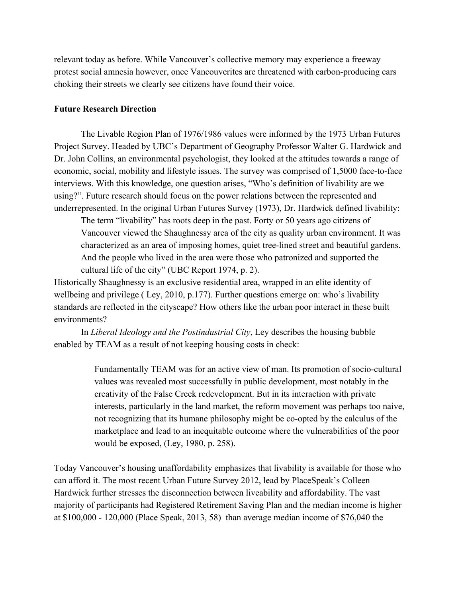relevant today as before. While Vancouver's collective memory may experience a freeway protest social amnesia however, once Vancouverites are threatened with carbon-producing cars choking their streets we clearly see citizens have found their voice.

# **Future Research Direction**

The Livable Region Plan of 1976/1986 values were informed by the 1973 Urban Futures Project Survey. Headed by UBC's Department of Geography Professor Walter G. Hardwick and Dr. John Collins, an environmental psychologist, they looked at the attitudes towards a range of economic, social, mobility and lifestyle issues. The survey was comprised of 1,5000 face-to-face interviews. With this knowledge, one question arises, "Who's definition of livability are we using?". Future research should focus on the power relations between the represented and underrepresented. In the original Urban Futures Survey (1973), Dr. Hardwick defined livability:

The term "livability" has roots deep in the past. Forty or 50 years ago citizens of Vancouver viewed the Shaughnessy area of the city as quality urban environment. It was characterized as an area of imposing homes, quiet tree-lined street and beautiful gardens. And the people who lived in the area were those who patronized and supported the cultural life of the city" (UBC Report 1974, p. 2).

Historically Shaughnessy is an exclusive residential area, wrapped in an elite identity of wellbeing and privilege ( Ley, 2010, p.177). Further questions emerge on: who's livability standards are reflected in the cityscape? How others like the urban poor interact in these built environments?

In *Liberal Ideology and the Postindustrial City*, Ley describes the housing bubble enabled by TEAM as a result of not keeping housing costs in check:

> Fundamentally TEAM was for an active view of man. Its promotion of socio-cultural values was revealed most successfully in public development, most notably in the creativity of the False Creek redevelopment. But in its interaction with private interests, particularly in the land market, the reform movement was perhaps too naive, not recognizing that its humane philosophy might be co-opted by the calculus of the marketplace and lead to an inequitable outcome where the vulnerabilities of the poor would be exposed, (Ley, 1980, p. 258).

Today Vancouver's housing unaffordability emphasizes that livability is available for those who can afford it. The most recent Urban Future Survey 2012, lead by PlaceSpeak's Colleen Hardwick further stresses the disconnection between liveability and affordability. The vast majority of participants had Registered Retirement Saving Plan and the median income is higher at \$100,000 - 120,000 (Place Speak, 2013, 58) than average median income of \$76,040 the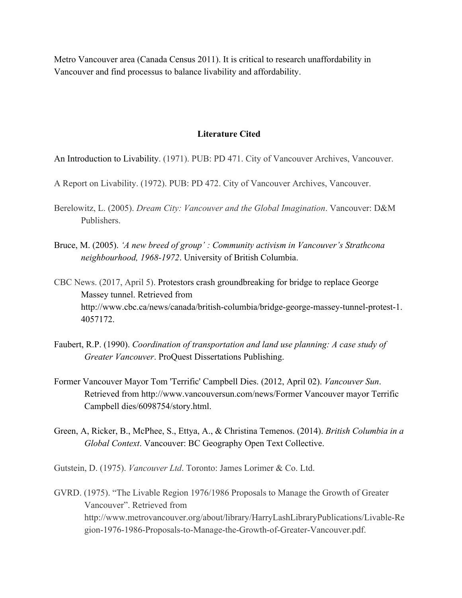Metro Vancouver area (Canada Census 2011). It is critical to research unaffordability in Vancouver and find processus to balance livability and affordability.

# **Literature Cited**

An Introduction to Livability. (1971). PUB: PD 471. City of Vancouver Archives, Vancouver.

- A Report on Livability. (1972). PUB: PD 472. City of Vancouver Archives, Vancouver.
- Berelowitz, L. (2005). *Dream City: Vancouver and the Global Imagination*. Vancouver: D&M Publishers.
- Bruce, M. (2005). *'A new breed of group' : Community activism in Vancouver's Strathcona neighbourhood, 1968-1972*. University of British Columbia.
- CBC News. (2017, April 5). Protestors crash groundbreaking for bridge to replace George Massey tunnel. Retrieved from http://www.cbc.ca/news/canada/british-columbia/bridge-george-massey-tunnel-protest-1. 4057172.
- Faubert, R.P. (1990). *Coordination of transportation and land use planning: A case study of Greater Vancouver*. ProQuest Dissertations Publishing.
- Former Vancouver Mayor Tom 'Terrific' Campbell Dies. (2012, April 02). *Vancouver Sun*. Retrieved from http://www.vancouversun.com/news/Former Vancouver mayor Terrific Campbell dies/6098754/story.html.
- Green, A, Ricker, B., McPhee, S., Ettya, A., & Christina Temenos. (2014). *British Columbia in a Global Context*. Vancouver: BC Geography Open Text Collective.

Gutstein, D. (1975). *Vancouver Ltd*. Toronto: James Lorimer & Co. Ltd.

GVRD. (1975). "The Livable Region 1976/1986 Proposals to Manage the Growth of Greater Vancouver". Retrieved from http://www.metrovancouver.org/about/library/HarryLashLibraryPublications/Livable-Re gion-1976-1986-Proposals-to-Manage-the-Growth-of-Greater-Vancouver.pdf.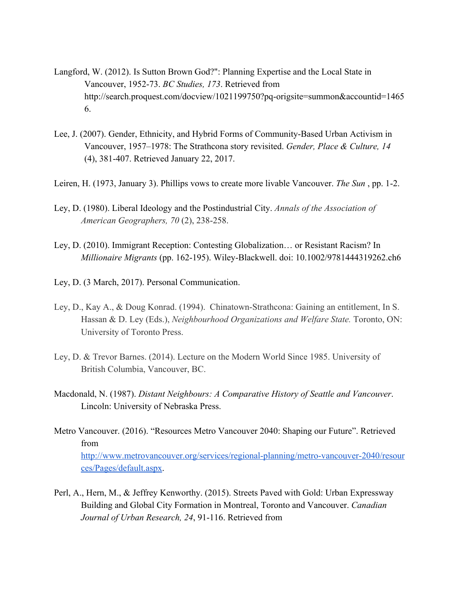- Langford, W. (2012). Is Sutton Brown God?": Planning Expertise and the Local State in Vancouver, 1952-73. *BC Studies, 173*. Retrieved from http://search.proquest.com/docview/1021199750?pq-origsite=summon&accountid=1465 6.
- Lee, J. (2007). Gender, Ethnicity, and Hybrid Forms of Community-Based Urban Activism in Vancouver, 1957–1978: The Strathcona story revisited. *Gender, Place & Culture, 14* (4), 381-407. Retrieved January 22, 2017.
- Leiren, H. (1973, January 3). Phillips vows to create more livable Vancouver. *The Sun* , pp. 1-2.
- Ley, D. (1980). Liberal Ideology and the Postindustrial City. *Annals of the Association of American Geographers, 70* (2), 238-258.
- Ley, D. (2010). Immigrant Reception: Contesting Globalization… or Resistant Racism? In *Millionaire Migrants* (pp. 162-195). Wiley-Blackwell. doi: 10.1002/9781444319262.ch6
- Ley, D. (3 March, 2017). Personal Communication.
- Ley, D., Kay A., & Doug Konrad. (1994). Chinatown-Strathcona: Gaining an entitlement, In S. Hassan & D. Ley (Eds.), *Neighbourhood Organizations and Welfare State.* Toronto, ON: University of Toronto Press.
- Ley, D. & Trevor Barnes. (2014). Lecture on the Modern World Since 1985. University of British Columbia, Vancouver, BC.
- Macdonald, N. (1987). *Distant Neighbours: A Comparative History of Seattle and Vancouver*. Lincoln: University of Nebraska Press.
- Metro Vancouver. (2016). "Resources Metro Vancouver 2040: Shaping our Future". Retrieved from [http://www.metrovancouver.org/services/regional-planning/metro-vancouver-2040/resour](http://www.metrovancouver.org/services/regional-planning/metro-vancouver-2040/resources/Pages/default.aspx) [ces/Pages/default.aspx.](http://www.metrovancouver.org/services/regional-planning/metro-vancouver-2040/resources/Pages/default.aspx)
- Perl, A., Hern, M., & Jeffrey Kenworthy. (2015). Streets Paved with Gold: Urban Expressway Building and Global City Formation in Montreal, Toronto and Vancouver. *Canadian Journal of Urban Research, 24*, 91-116. Retrieved from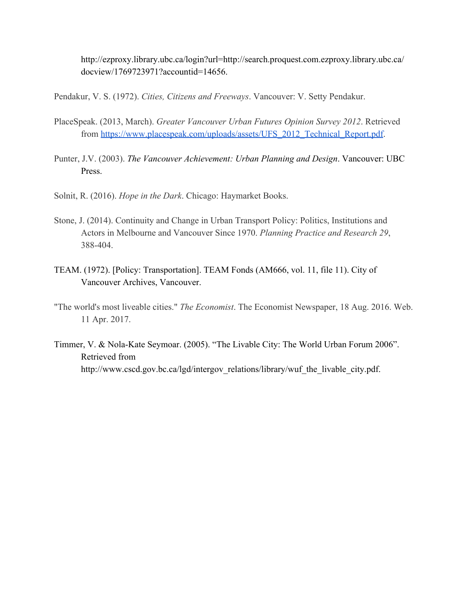http://ezproxy.library.ubc.ca/login?url=http://search.proquest.com.ezproxy.library.ubc.ca/ docview/1769723971?accountid=14656.

Pendakur, V. S. (1972). *Cities, Citizens and Freeways*. Vancouver: V. Setty Pendakur.

- PlaceSpeak. (2013, March). *Greater Vancouver Urban Futures Opinion Survey 2012*. Retrieved from [https://www.placespeak.com/uploads/assets/UFS\\_2012\\_Technical\\_Report.pdf](https://www.placespeak.com/uploads/assets/UFS_2012_Technical_Report.pdf).
- Punter, J.V. (2003). *The Vancouver Achievement: Urban Planning and Design*. Vancouver: UBC Press.
- Solnit, R. (2016). *Hope in the Dark*. Chicago: Haymarket Books.
- Stone, J. (2014). Continuity and Change in Urban Transport Policy: Politics, Institutions and Actors in Melbourne and Vancouver Since 1970. *Planning Practice and Research 29*, 388-404.
- TEAM. (1972). [Policy: Transportation]. TEAM Fonds (AM666, vol. 11, file 11). City of Vancouver Archives, Vancouver.
- "The world's most liveable cities." *The Economist*. The Economist Newspaper, 18 Aug. 2016. Web. 11 Apr. 2017.
- Timmer, V. & Nola-Kate Seymoar. (2005). "The Livable City: The World Urban Forum 2006". Retrieved from http://www.cscd.gov.bc.ca/lgd/intergov\_relations/library/wuf\_the\_livable\_city.pdf.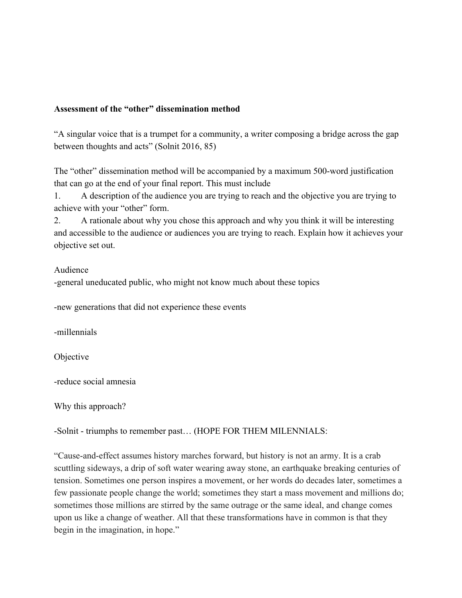# **Assessment of the "other" dissemination method**

"A singular voice that is a trumpet for a community, a writer composing a bridge across the gap between thoughts and acts" (Solnit 2016, 85)

The "other" dissemination method will be accompanied by a maximum 500-word justification that can go at the end of your final report. This must include

1. A description of the audience you are trying to reach and the objective you are trying to achieve with your "other" form.

2. A rationale about why you chose this approach and why you think it will be interesting and accessible to the audience or audiences you are trying to reach. Explain how it achieves your objective set out.

# Audience

-general uneducated public, who might not know much about these topics

-new generations that did not experience these events

-millennials

Objective

-reduce social amnesia

Why this approach?

-Solnit - triumphs to remember past… (HOPE FOR THEM MILENNIALS:

"Cause-and-effect assumes history marches forward, but history is not an army. It is a crab scuttling sideways, a drip of soft water wearing away stone, an earthquake breaking centuries of tension. Sometimes one person inspires a movement, or her words do decades later, sometimes a few passionate people change the world; sometimes they start a mass movement and millions do; sometimes those millions are stirred by the same outrage or the same ideal, and change comes upon us like a change of weather. All that these transformations have in common is that they begin in the imagination, in hope."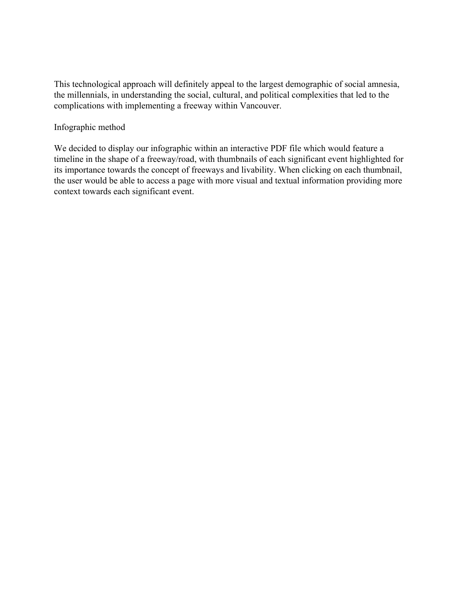This technological approach will definitely appeal to the largest demographic of social amnesia, the millennials, in understanding the social, cultural, and political complexities that led to the complications with implementing a freeway within Vancouver.

Infographic method

We decided to display our infographic within an interactive PDF file which would feature a timeline in the shape of a freeway/road, with thumbnails of each significant event highlighted for its importance towards the concept of freeways and livability. When clicking on each thumbnail, the user would be able to access a page with more visual and textual information providing more context towards each significant event.